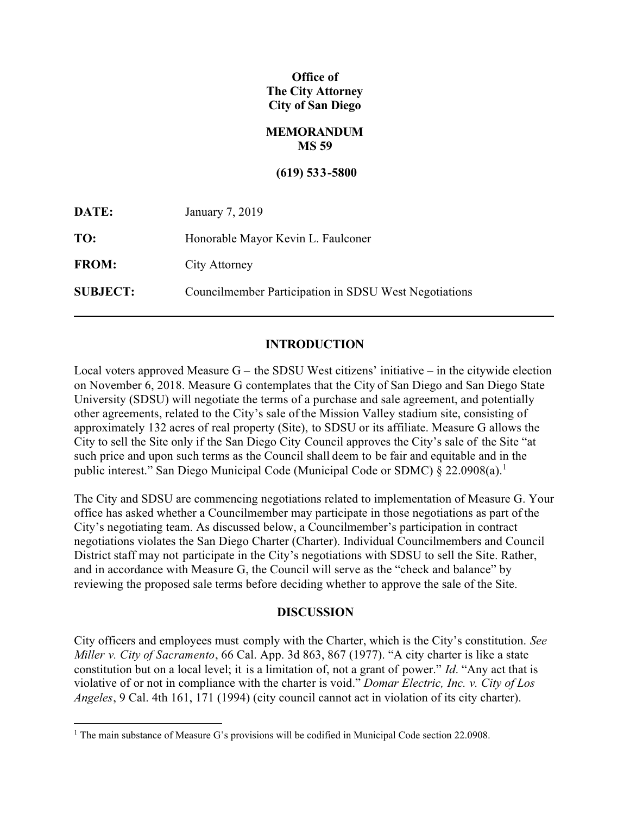# **Office of The City Attorney City of San Diego**

## **MEMORANDUM MS 59**

#### **(619) 533-5800**

| DATE:           | January 7, 2019                                       |
|-----------------|-------------------------------------------------------|
| TO:             | Honorable Mayor Kevin L. Faulconer                    |
| <b>FROM:</b>    | City Attorney                                         |
| <b>SUBJECT:</b> | Councilmember Participation in SDSU West Negotiations |

## **INTRODUCTION**

Local voters approved Measure  $G -$  the SDSU West citizens' initiative – in the citywide election on November 6, 2018. Measure G contemplates that the City of San Diego and San Diego State University (SDSU) will negotiate the terms of a purchase and sale agreement, and potentially other agreements, related to the City's sale of the Mission Valley stadium site, consisting of approximately 132 acres of real property (Site), to SDSU or its affiliate. Measure G allows the City to sell the Site only if the San Diego City Council approves the City's sale of the Site "at such price and upon such terms as the Council shall deem to be fair and equitable and in the public interest." San Diego Municipal Code (Municipal Code or SDMC) § 22.0908(a). 1

The City and SDSU are commencing negotiations related to implementation of Measure G. Your office has asked whether a Councilmember may participate in those negotiations as part of the City's negotiating team. As discussed below, a Councilmember's participation in contract negotiations violates the San Diego Charter (Charter). Individual Councilmembers and Council District staff may not participate in the City's negotiations with SDSU to sell the Site. Rather, and in accordance with Measure G, the Council will serve as the "check and balance" by reviewing the proposed sale terms before deciding whether to approve the sale of the Site.

#### **DISCUSSION**

City officers and employees must comply with the Charter, which is the City's constitution. *See Miller v. City of Sacramento*, 66 Cal. App. 3d 863, 867 (1977). "A city charter is like a state constitution but on a local level; it is a limitation of, not a grant of power." *Id*. "Any act that is violative of or not in compliance with the charter is void." *Domar Electric, Inc. v. City of Los Angeles*, 9 Cal. 4th 161, 171 (1994) (city council cannot act in violation of its city charter).

<sup>1</sup> The main substance of Measure G's provisions will be codified in Municipal Code section 22.0908.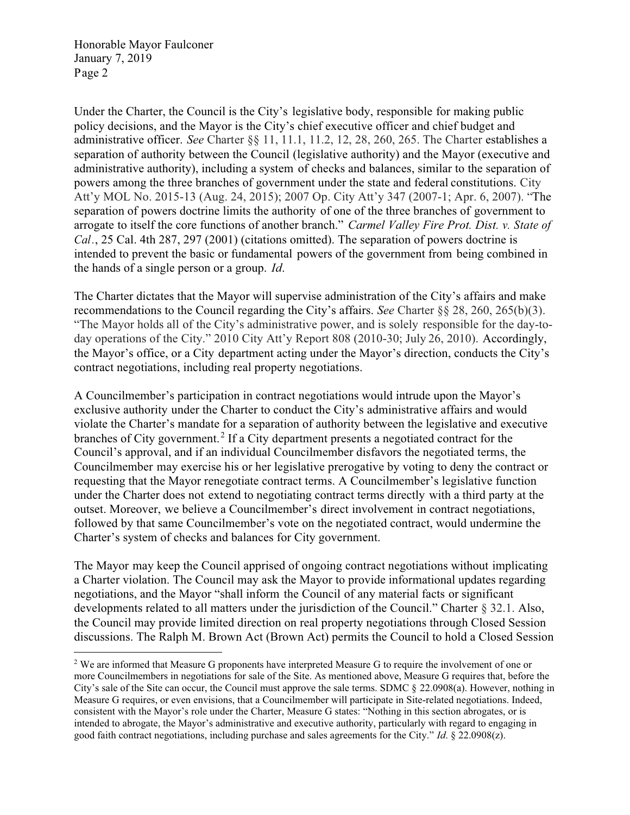Honorable Mayor Faulconer January 7, 2019 Page 2

Under the Charter, the Council is the City's legislative body, responsible for making public policy decisions, and the Mayor is the City's chief executive officer and chief budget and administrative officer. *See* Charter §§ 11, 11.1, 11.2, 12, 28, 260, 265. The Charter establishes a separation of authority between the Council (legislative authority) and the Mayor (executive and administrative authority), including a system of checks and balances, similar to the separation of powers among the three branches of government under the state and federal constitutions. City Att'y MOL No. 2015-13 (Aug. 24, 2015); 2007 Op. City Att'y 347 (2007-1; Apr. 6, 2007). "The separation of powers doctrine limits the authority of one of the three branches of government to arrogate to itself the core functions of another branch." *Carmel Valley Fire Prot. Dist. v. State of Cal.*, 25 Cal. 4th 287, 297 (2001) (citations omitted). The separation of powers doctrine is intended to prevent the basic or fundamental powers of the government from being combined in the hands of a single person or a group. *Id*.

The Charter dictates that the Mayor will supervise administration of the City's affairs and make recommendations to the Council regarding the City's affairs. *See* Charter §§ 28, 260, 265(b)(3). "The Mayor holds all of the City's administrative power, and is solely responsible for the day-today operations of the City." 2010 City Att'y Report 808 (2010-30; July 26, 2010). Accordingly, the Mayor's office, or a City department acting under the Mayor's direction, conducts the City's contract negotiations, including real property negotiations.

A Councilmember's participation in contract negotiations would intrude upon the Mayor's exclusive authority under the Charter to conduct the City's administrative affairs and would violate the Charter's mandate for a separation of authority between the legislative and executive branches of City government.<sup>2</sup> If a City department presents a negotiated contract for the Council's approval, and if an individual Councilmember disfavors the negotiated terms, the Councilmember may exercise his or her legislative prerogative by voting to deny the contract or requesting that the Mayor renegotiate contract terms. A Councilmember's legislative function under the Charter does not extend to negotiating contract terms directly with a third party at the outset. Moreover, we believe a Councilmember's direct involvement in contract negotiations, followed by that same Councilmember's vote on the negotiated contract, would undermine the Charter's system of checks and balances for City government.

The Mayor may keep the Council apprised of ongoing contract negotiations without implicating a Charter violation. The Council may ask the Mayor to provide informational updates regarding negotiations, and the Mayor "shall inform the Council of any material facts or significant developments related to all matters under the jurisdiction of the Council." Charter § 32.1. Also, the Council may provide limited direction on real property negotiations through Closed Session discussions. The Ralph M. Brown Act (Brown Act) permits the Council to hold a Closed Session

<sup>&</sup>lt;sup>2</sup> We are informed that Measure G proponents have interpreted Measure G to require the involvement of one or more Councilmembers in negotiations for sale of the Site. As mentioned above, Measure G requires that, before the City's sale of the Site can occur, the Council must approve the sale terms. SDMC § 22.0908(a). However, nothing in Measure G requires, or even envisions, that a Councilmember will participate in Site-related negotiations. Indeed, consistent with the Mayor's role under the Charter, Measure G states: "Nothing in this section abrogates, or is intended to abrogate, the Mayor's administrative and executive authority, particularly with regard to engaging in good faith contract negotiations, including purchase and sales agreements for the City." *Id*. § 22.0908(z).